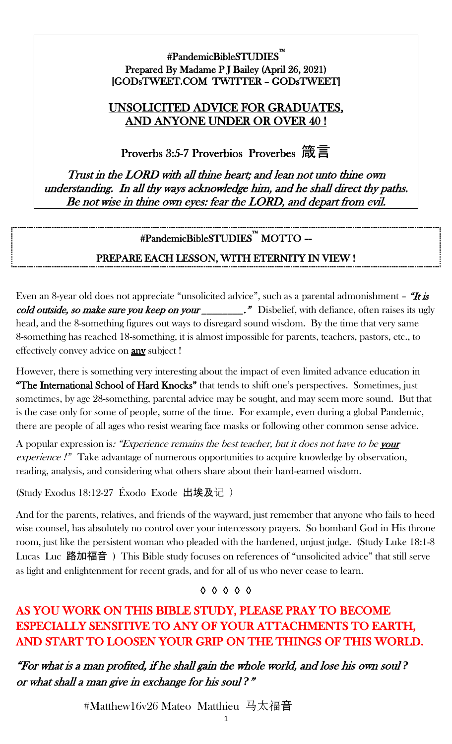#### #PandemicBibleSTUDIES™ Prepared By Madame P J Bailey (April 26, 2021) [GODsTWEET.COM TWITTER – GODsTWEET]

#### UNSOLICITED ADVICE FOR GRADUATES, AND ANYONE UNDER OR OVER 40 !

Proverbs 3:5-7 Proverbios Proverbes 箴言

Trust in the LORD with all thine heart; and lean not unto thine own understanding. In all thy ways acknowledge him, and he shall direct thy paths. Be not wise in thine own eyes: fear the LORD, and depart from evil.

# #PandemicBibleSTUDIES™ MOTTO –-

## PREPARE EACH LESSON, WITH ETERNITY IN VIEW !

Even an 8-year old does not appreciate "unsolicited advice", such as a parental admonishment - "It is cold outside, so make sure you keep on your \_\_\_\_\_\_\_." Disbelief, with defiance, often raises its ugly head, and the 8-something figures out ways to disregard sound wisdom. By the time that very same 8-something has reached 18-something, it is almost impossible for parents, teachers, pastors, etc., to effectively convey advice on **any** subject !

However, there is something very interesting about the impact of even limited advance education in "The International School of Hard Knocks" that tends to shift one's perspectives. Sometimes, just sometimes, by age 28-something, parental advice may be sought, and may seem more sound. But that is the case only for some of people, some of the time. For example, even during a global Pandemic, there are people of all ages who resist wearing face masks or following other common sense advice.

A popular expression is: "Experience remains the best teacher, but it does not have to be your experience !" Take advantage of numerous opportunities to acquire knowledge by observation, reading, analysis, and considering what others share about their hard-earned wisdom.

(Study Exodus 18:12-27 Éxodo Exode 出埃及记 )

And for the parents, relatives, and friends of the wayward, just remember that anyone who fails to heed wise counsel, has absolutely no control over your intercessory prayers. So bombard God in His throne room, just like the persistent woman who pleaded with the hardened, unjust judge. (Study Luke 18:1-8 Lucas Luc 路加福音) This Bible study focuses on references of "unsolicited advice" that still serve as light and enlightenment for recent grads, and for all of us who never cease to learn.

◊ ◊ ◊ ◊ ◊

# AS YOU WORK ON THIS BIBLE STUDY, PLEASE PRAY TO BECOME ESPECIALLY SENSITIVE TO ANY OF YOUR ATTACHMENTS TO EARTH, AND START TO LOOSEN YOUR GRIP ON THE THINGS OF THIS WORLD.

"For what is a man profited, if he shall gain the whole world, and lose his own soul *?*  or what shall a man give in exchange for his soul *?*"

#Matthew16v26 Mateo Matthieu 马太福音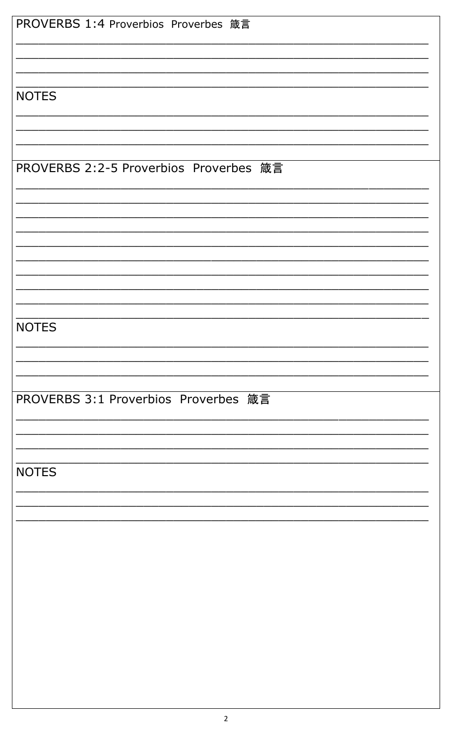|              | PROVERBS 1:4 Proverbios Proverbes 箴言   |  |  |
|--------------|----------------------------------------|--|--|
| <b>NOTES</b> |                                        |  |  |
|              |                                        |  |  |
|              | PROVERBS 2:2-5 Proverbios Proverbes 箴言 |  |  |
|              |                                        |  |  |
|              |                                        |  |  |
| <b>NOTES</b> |                                        |  |  |
|              |                                        |  |  |
|              | PROVERBS 3:1 Proverbios Proverbes 箴言   |  |  |
| <b>NOTES</b> |                                        |  |  |
|              |                                        |  |  |
|              |                                        |  |  |
|              |                                        |  |  |
|              |                                        |  |  |
|              |                                        |  |  |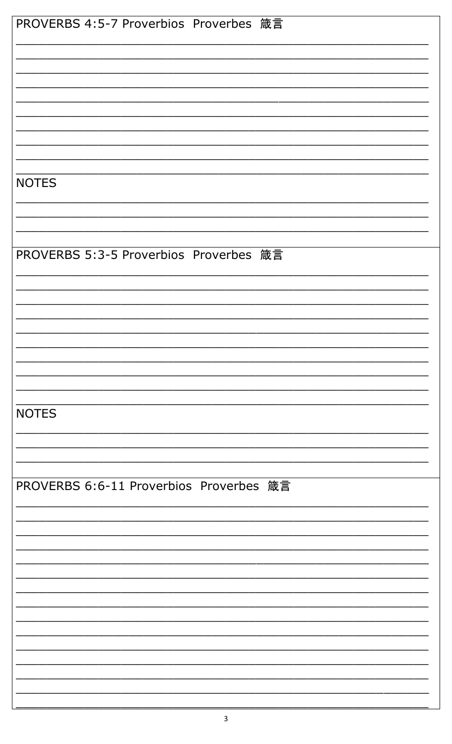| PROVERBS 4:5-7 Proverbios Proverbes 箴言  |  |
|-----------------------------------------|--|
|                                         |  |
|                                         |  |
|                                         |  |
|                                         |  |
|                                         |  |
|                                         |  |
|                                         |  |
|                                         |  |
|                                         |  |
|                                         |  |
|                                         |  |
|                                         |  |
|                                         |  |
| <b>NOTES</b>                            |  |
|                                         |  |
|                                         |  |
|                                         |  |
|                                         |  |
|                                         |  |
|                                         |  |
| PROVERBS 5:3-5 Proverbios Proverbes 箴言  |  |
|                                         |  |
|                                         |  |
|                                         |  |
|                                         |  |
|                                         |  |
|                                         |  |
|                                         |  |
|                                         |  |
|                                         |  |
|                                         |  |
|                                         |  |
|                                         |  |
|                                         |  |
|                                         |  |
| <b>NOTES</b>                            |  |
|                                         |  |
|                                         |  |
|                                         |  |
|                                         |  |
|                                         |  |
|                                         |  |
| PROVERBS 6:6-11 Proverbios Proverbes 箴言 |  |
|                                         |  |
|                                         |  |
|                                         |  |
|                                         |  |
|                                         |  |
|                                         |  |
|                                         |  |
|                                         |  |
|                                         |  |
|                                         |  |
|                                         |  |
|                                         |  |
|                                         |  |
|                                         |  |
|                                         |  |
|                                         |  |
|                                         |  |
|                                         |  |
|                                         |  |
|                                         |  |
|                                         |  |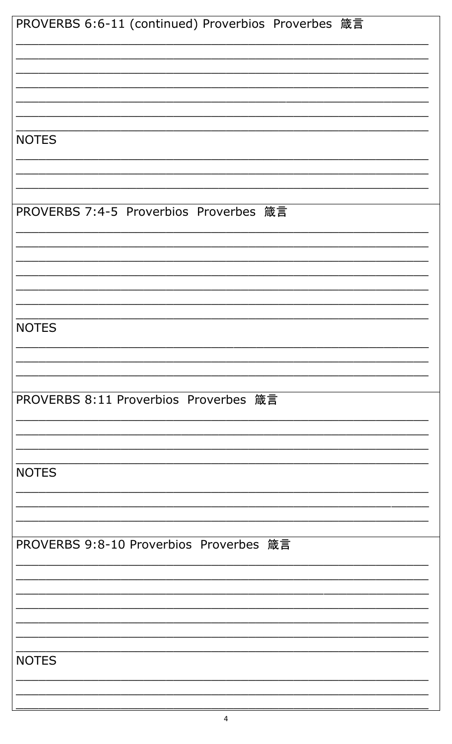| PROVERBS 6:6-11 (continued) Proverbios Proverbes 箴言 |
|-----------------------------------------------------|
|                                                     |
|                                                     |
|                                                     |
|                                                     |
|                                                     |
| <b>NOTES</b>                                        |
|                                                     |
|                                                     |
|                                                     |
| PROVERBS 7:4-5 Proverbios Proverbes 箴言              |
|                                                     |
|                                                     |
|                                                     |
|                                                     |
|                                                     |
|                                                     |
| <b>NOTES</b>                                        |
|                                                     |
|                                                     |
|                                                     |
| PROVERBS 8:11 Proverbios Proverbes 箴言               |
|                                                     |
|                                                     |
|                                                     |
| <b>NOTES</b>                                        |
|                                                     |
|                                                     |
|                                                     |
| PROVERBS 9:8-10 Proverbios Proverbes 箴言             |
|                                                     |
|                                                     |
|                                                     |
|                                                     |
|                                                     |
| <b>NOTES</b>                                        |
|                                                     |
|                                                     |
|                                                     |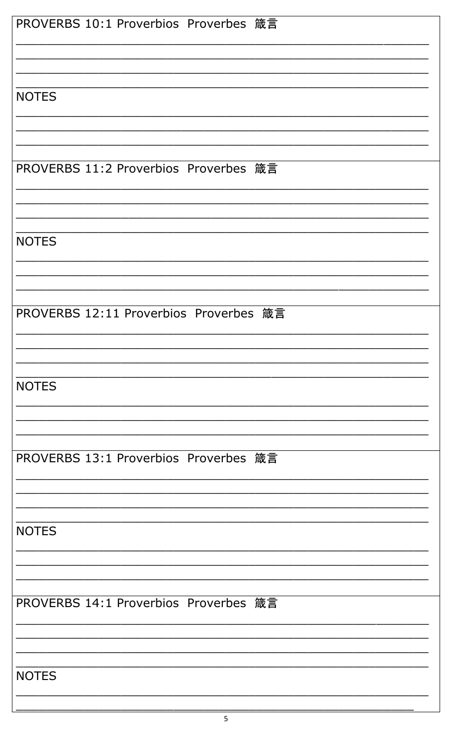| PROVERBS 10:1 Proverbios Proverbes 箴言  |
|----------------------------------------|
|                                        |
|                                        |
|                                        |
|                                        |
| <b>NOTES</b>                           |
|                                        |
|                                        |
|                                        |
|                                        |
| PROVERBS 11:2 Proverbios Proverbes 箴言  |
|                                        |
|                                        |
|                                        |
|                                        |
| <b>NOTES</b>                           |
|                                        |
|                                        |
|                                        |
|                                        |
| PROVERBS 12:11 Proverbios Proverbes 箴言 |
|                                        |
|                                        |
|                                        |
|                                        |
| <b>NOTES</b>                           |
|                                        |
|                                        |
|                                        |
| PROVERBS 13:1 Proverbios Proverbes 箴言  |
|                                        |
|                                        |
|                                        |
|                                        |
| <b>NOTES</b>                           |
|                                        |
|                                        |
|                                        |
|                                        |
| PROVERBS 14:1 Proverbios Proverbes 箴言  |
|                                        |
|                                        |
|                                        |
|                                        |
|                                        |
| <b>NOTES</b>                           |
|                                        |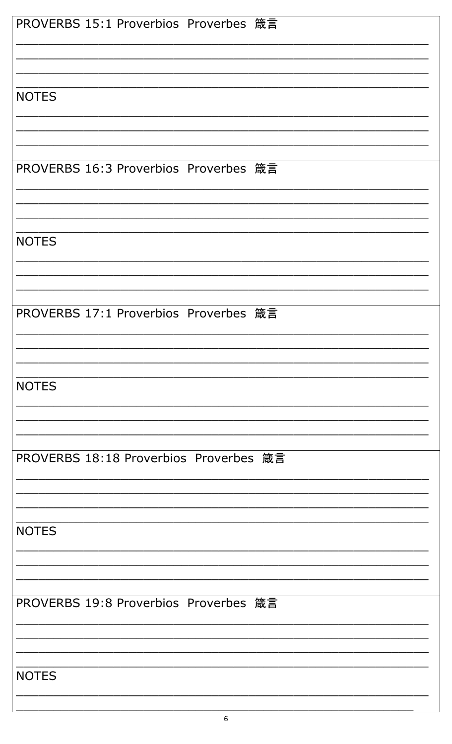| PROVERBS 15:1 Proverbios Proverbes 箴言  |
|----------------------------------------|
|                                        |
|                                        |
|                                        |
|                                        |
| <b>NOTES</b>                           |
|                                        |
|                                        |
|                                        |
| PROVERBS 16:3 Proverbios Proverbes 箴言  |
|                                        |
|                                        |
|                                        |
|                                        |
| <b>NOTES</b>                           |
|                                        |
|                                        |
|                                        |
|                                        |
| PROVERBS 17:1 Proverbios Proverbes 箴言  |
|                                        |
|                                        |
|                                        |
| <b>NOTES</b>                           |
|                                        |
|                                        |
|                                        |
|                                        |
| PROVERBS 18:18 Proverbios Proverbes 箴言 |
|                                        |
|                                        |
|                                        |
| <b>NOTES</b>                           |
|                                        |
|                                        |
|                                        |
|                                        |
| PROVERBS 19:8 Proverbios Proverbes 箴言  |
|                                        |
|                                        |
|                                        |
| <b>NOTES</b>                           |
|                                        |
|                                        |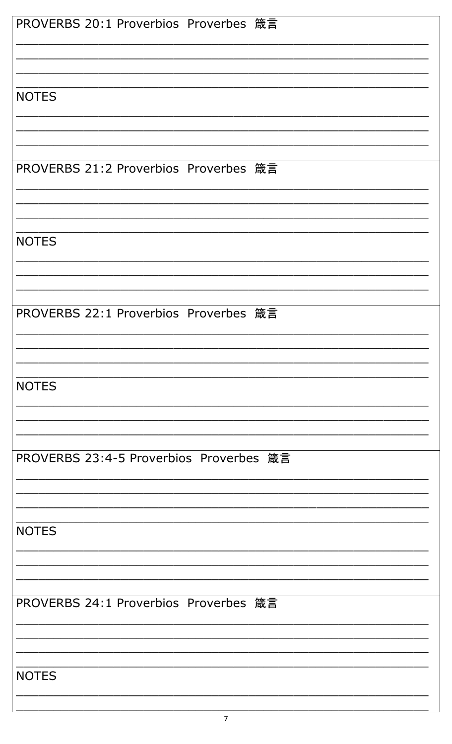| PROVERBS 20:1 Proverbios Proverbes 箴言   |
|-----------------------------------------|
|                                         |
|                                         |
|                                         |
|                                         |
| <b>NOTES</b>                            |
|                                         |
|                                         |
|                                         |
|                                         |
| PROVERBS 21:2 Proverbios Proverbes 箴言   |
|                                         |
|                                         |
|                                         |
|                                         |
|                                         |
| <b>NOTES</b>                            |
|                                         |
|                                         |
|                                         |
|                                         |
| PROVERBS 22:1 Proverbios Proverbes 箴言   |
|                                         |
|                                         |
|                                         |
|                                         |
| <b>NOTES</b>                            |
|                                         |
|                                         |
|                                         |
|                                         |
| PROVERBS 23:4-5 Proverbios Proverbes 箴言 |
|                                         |
|                                         |
|                                         |
|                                         |
|                                         |
| <b>NOTES</b>                            |
|                                         |
|                                         |
|                                         |
|                                         |
| PROVERBS 24:1 Proverbios Proverbes 箴言   |
|                                         |
|                                         |
|                                         |
|                                         |
| <b>NOTES</b>                            |
|                                         |
|                                         |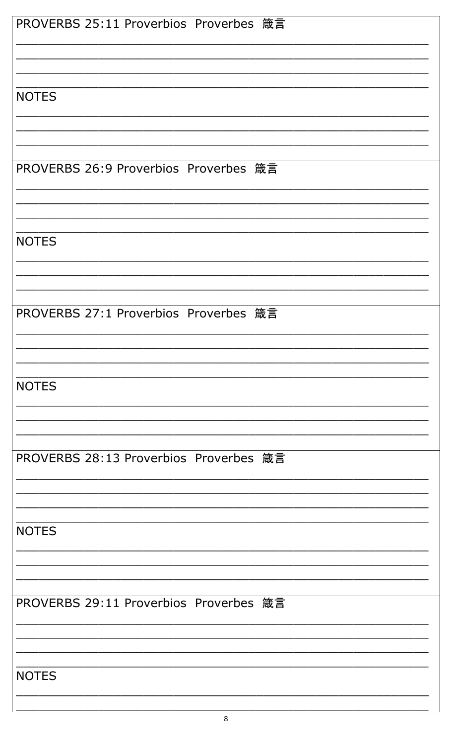| PROVERBS 25:11 Proverbios Proverbes 箴言 |
|----------------------------------------|
|                                        |
|                                        |
|                                        |
|                                        |
| <b>NOTES</b>                           |
|                                        |
|                                        |
|                                        |
|                                        |
| PROVERBS 26:9 Proverbios Proverbes 箴言  |
|                                        |
|                                        |
|                                        |
|                                        |
| <b>NOTES</b>                           |
|                                        |
|                                        |
|                                        |
|                                        |
| PROVERBS 27:1 Proverbios Proverbes 箴言  |
|                                        |
|                                        |
|                                        |
|                                        |
| <b>NOTES</b>                           |
|                                        |
|                                        |
|                                        |
| PROVERBS 28:13 Proverbios Proverbes 箴言 |
|                                        |
|                                        |
|                                        |
|                                        |
| <b>NOTES</b>                           |
|                                        |
|                                        |
|                                        |
|                                        |
| PROVERBS 29:11 Proverbios Proverbes 箴言 |
|                                        |
|                                        |
|                                        |
|                                        |
| <b>NOTES</b>                           |
|                                        |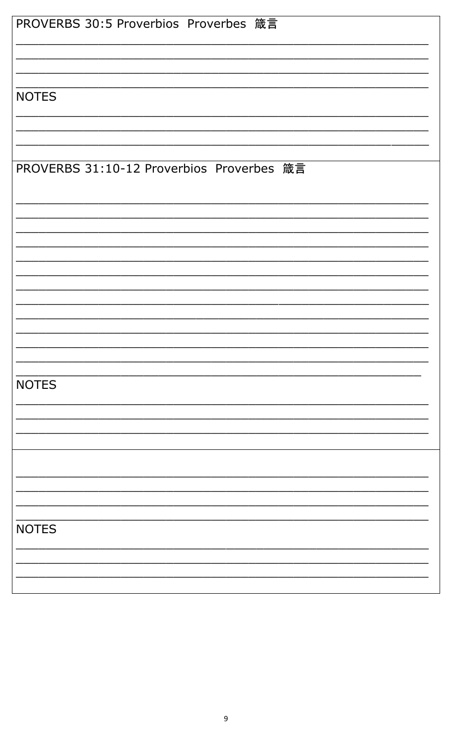| PROVERBS 30:5 Proverbios Proverbes 箴言     |
|-------------------------------------------|
|                                           |
|                                           |
|                                           |
|                                           |
| <b>NOTES</b>                              |
|                                           |
|                                           |
|                                           |
|                                           |
| PROVERBS 31:10-12 Proverbios Proverbes 箴言 |
|                                           |
|                                           |
|                                           |
|                                           |
|                                           |
|                                           |
|                                           |
|                                           |
|                                           |
|                                           |
|                                           |
|                                           |
|                                           |
|                                           |
|                                           |
|                                           |
| <b>NOTES</b>                              |
|                                           |
|                                           |
|                                           |
|                                           |
|                                           |
|                                           |
|                                           |
|                                           |
|                                           |
|                                           |
| <b>NOTES</b>                              |
|                                           |
|                                           |
|                                           |
|                                           |
|                                           |